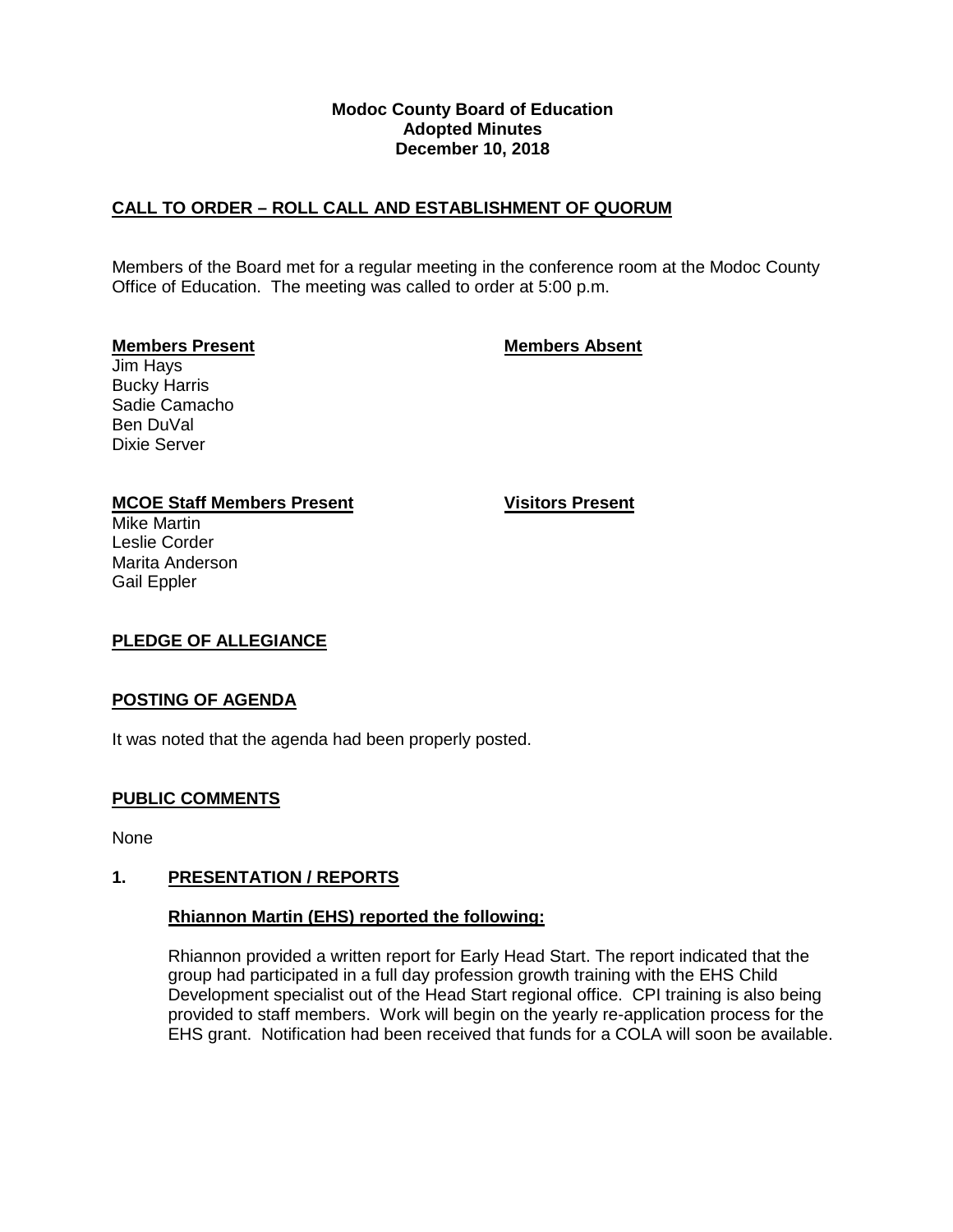## **Modoc County Board of Education Adopted Minutes December 10, 2018**

# **CALL TO ORDER – ROLL CALL AND ESTABLISHMENT OF QUORUM**

Members of the Board met for a regular meeting in the conference room at the Modoc County Office of Education. The meeting was called to order at 5:00 p.m.

## **Members Present Members Absent**

Jim Hays Bucky Harris Sadie Camacho Ben DuVal Dixie Server

## **MCOE Staff Members Present Visitors Present**

Mike Martin Leslie Corder Marita Anderson Gail Eppler

# **PLEDGE OF ALLEGIANCE**

## **POSTING OF AGENDA**

It was noted that the agenda had been properly posted.

# **PUBLIC COMMENTS**

None

## **1. PRESENTATION / REPORTS**

## **Rhiannon Martin (EHS) reported the following:**

Rhiannon provided a written report for Early Head Start. The report indicated that the group had participated in a full day profession growth training with the EHS Child Development specialist out of the Head Start regional office. CPI training is also being provided to staff members. Work will begin on the yearly re-application process for the EHS grant. Notification had been received that funds for a COLA will soon be available.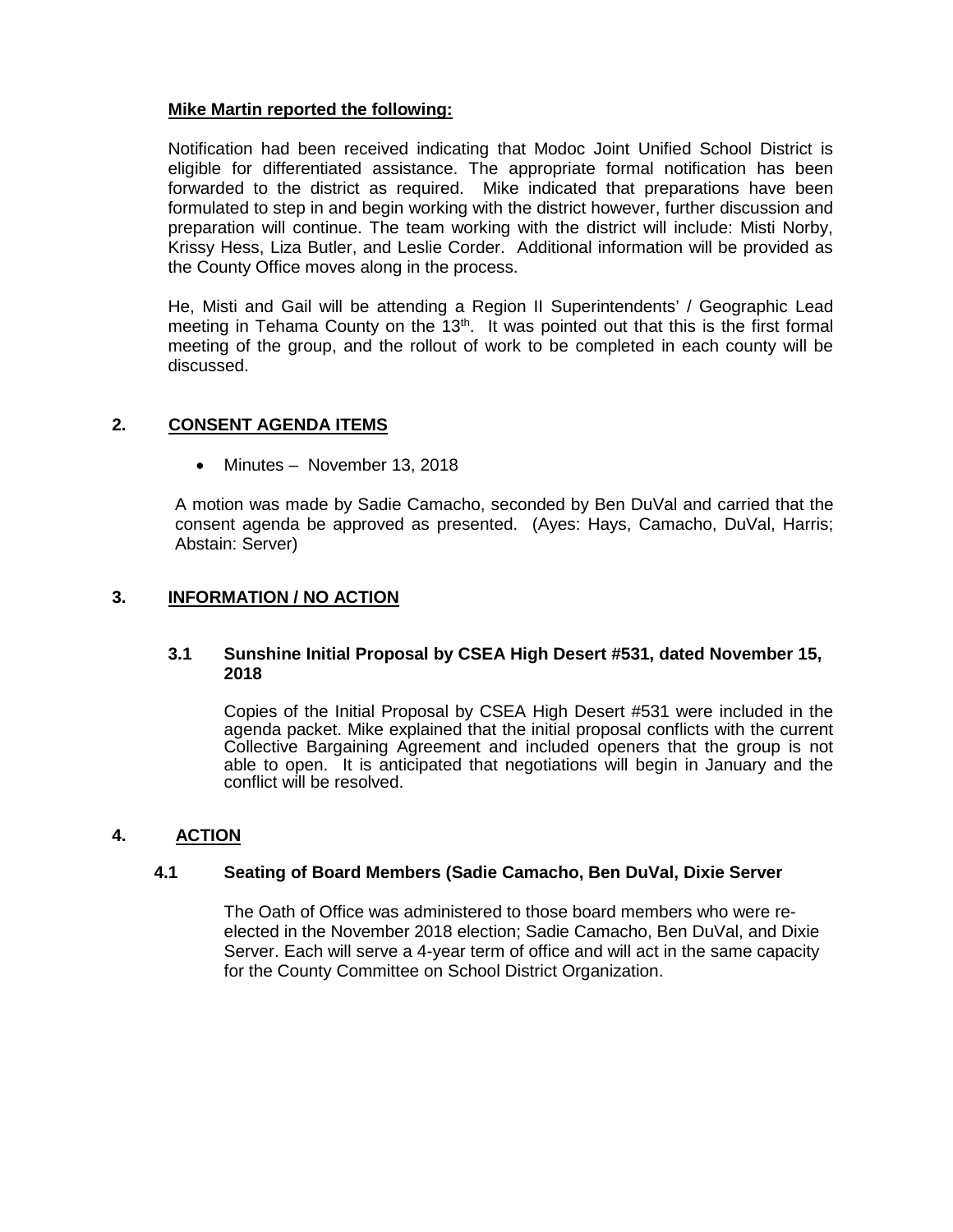# **Mike Martin reported the following:**

Notification had been received indicating that Modoc Joint Unified School District is eligible for differentiated assistance. The appropriate formal notification has been forwarded to the district as required. Mike indicated that preparations have been formulated to step in and begin working with the district however, further discussion and preparation will continue. The team working with the district will include: Misti Norby, Krissy Hess, Liza Butler, and Leslie Corder. Additional information will be provided as the County Office moves along in the process.

He, Misti and Gail will be attending a Region II Superintendents' / Geographic Lead meeting in Tehama County on the  $13<sup>th</sup>$ . It was pointed out that this is the first formal meeting of the group, and the rollout of work to be completed in each county will be discussed.

## **2. CONSENT AGENDA ITEMS**

• Minutes – November 13, 2018

A motion was made by Sadie Camacho, seconded by Ben DuVal and carried that the consent agenda be approved as presented. (Ayes: Hays, Camacho, DuVal, Harris; Abstain: Server)

## **3. INFORMATION / NO ACTION**

## **3.1 Sunshine Initial Proposal by CSEA High Desert #531, dated November 15, 2018**

Copies of the Initial Proposal by CSEA High Desert #531 were included in the agenda packet. Mike explained that the initial proposal conflicts with the current Collective Bargaining Agreement and included openers that the group is not able to open. It is anticipated that negotiations will begin in January and the conflict will be resolved.

## **4. ACTION**

## **4.1 Seating of Board Members (Sadie Camacho, Ben DuVal, Dixie Server**

The Oath of Office was administered to those board members who were reelected in the November 2018 election; Sadie Camacho, Ben DuVal, and Dixie Server. Each will serve a 4-year term of office and will act in the same capacity for the County Committee on School District Organization.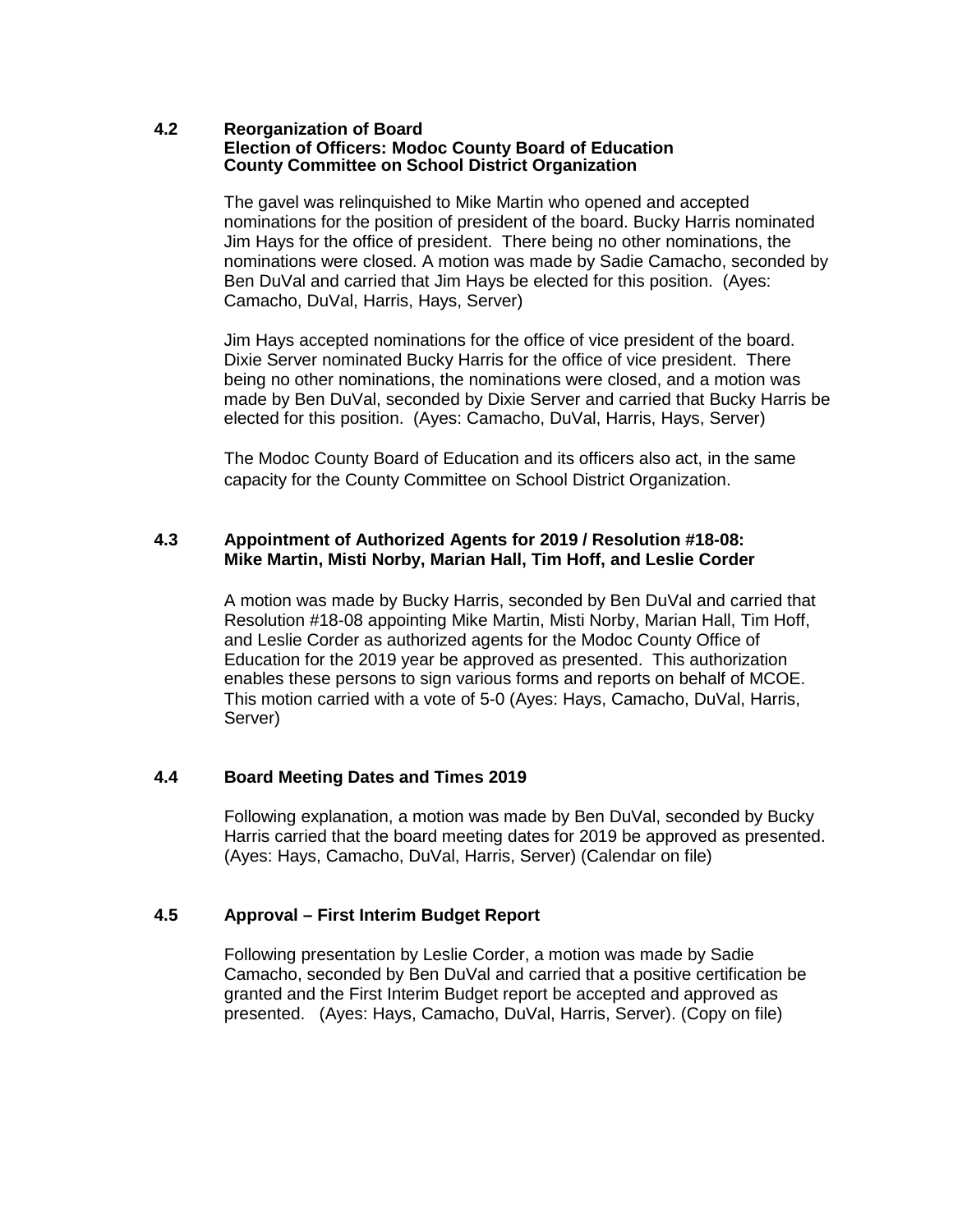### **4.2 Reorganization of Board Election of Officers: Modoc County Board of Education County Committee on School District Organization**

The gavel was relinquished to Mike Martin who opened and accepted nominations for the position of president of the board. Bucky Harris nominated Jim Hays for the office of president. There being no other nominations, the nominations were closed. A motion was made by Sadie Camacho, seconded by Ben DuVal and carried that Jim Hays be elected for this position. (Ayes: Camacho, DuVal, Harris, Hays, Server)

Jim Hays accepted nominations for the office of vice president of the board. Dixie Server nominated Bucky Harris for the office of vice president. There being no other nominations, the nominations were closed, and a motion was made by Ben DuVal, seconded by Dixie Server and carried that Bucky Harris be elected for this position. (Ayes: Camacho, DuVal, Harris, Hays, Server)

The Modoc County Board of Education and its officers also act, in the same capacity for the County Committee on School District Organization.

## **4.3 Appointment of Authorized Agents for 2019 / Resolution #18-08: Mike Martin, Misti Norby, Marian Hall, Tim Hoff, and Leslie Corder**

A motion was made by Bucky Harris, seconded by Ben DuVal and carried that Resolution #18-08 appointing Mike Martin, Misti Norby, Marian Hall, Tim Hoff, and Leslie Corder as authorized agents for the Modoc County Office of Education for the 2019 year be approved as presented. This authorization enables these persons to sign various forms and reports on behalf of MCOE. This motion carried with a vote of 5-0 (Ayes: Hays, Camacho, DuVal, Harris, Server)

## **4.4 Board Meeting Dates and Times 2019**

Following explanation, a motion was made by Ben DuVal, seconded by Bucky Harris carried that the board meeting dates for 2019 be approved as presented. (Ayes: Hays, Camacho, DuVal, Harris, Server) (Calendar on file)

# **4.5 Approval – First Interim Budget Report**

Following presentation by Leslie Corder, a motion was made by Sadie Camacho, seconded by Ben DuVal and carried that a positive certification be granted and the First Interim Budget report be accepted and approved as presented. (Ayes: Hays, Camacho, DuVal, Harris, Server). (Copy on file)